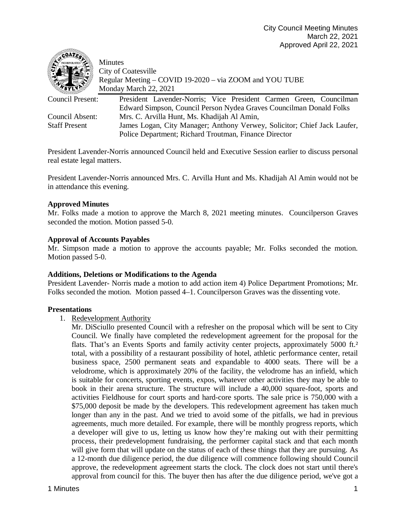

Minutes City of Coatesville Regular Meeting – COVID 19-2020 – via ZOOM and YOU TUBE Monday March 22, 2021

| Council Present:     | President Lavender-Norris; Vice President Carmen Green, Councilman       |
|----------------------|--------------------------------------------------------------------------|
|                      | Edward Simpson, Council Person Nydea Graves Councilman Donald Folks      |
| Council Absent:      | Mrs. C. Arvilla Hunt, Ms. Khadijah Al Amin,                              |
| <b>Staff Present</b> | James Logan, City Manager; Anthony Verwey, Solicitor; Chief Jack Laufer, |
|                      | Police Department; Richard Troutman, Finance Director                    |
|                      |                                                                          |

President Lavender-Norris announced Council held and Executive Session earlier to discuss personal real estate legal matters.

President Lavender-Norris announced Mrs. C. Arvilla Hunt and Ms. Khadijah Al Amin would not be in attendance this evening.

# **Approved Minutes**

Mr. Folks made a motion to approve the March 8, 2021 meeting minutes. Councilperson Graves seconded the motion. Motion passed 5-0.

## **Approval of Accounts Payables**

Mr. Simpson made a motion to approve the accounts payable; Mr. Folks seconded the motion. Motion passed 5-0.

#### **Additions, Deletions or Modifications to the Agenda**

President Lavender- Norris made a motion to add action item 4) Police Department Promotions; Mr. Folks seconded the motion. Motion passed 4–1. Councilperson Graves was the dissenting vote.

## **Presentations**

1. Redevelopment Authority

Mr. DiSciullo presented Council with a refresher on the proposal which will be sent to City Council. We finally have completed the redevelopment agreement for the proposal for the flats. That's an Events Sports and family activity center projects, approximately 5000 ft.<sup>2</sup> total, with a possibility of a restaurant possibility of hotel, athletic performance center, retail business space, 2500 permanent seats and expandable to 4000 seats. There will be a velodrome, which is approximately 20% of the facility, the velodrome has an infield, which is suitable for concerts, sporting events, expos, whatever other activities they may be able to book in their arena structure. The structure will include a 40,000 square-foot, sports and activities Fieldhouse for court sports and hard-core sports. The sale price is 750,000 with a \$75,000 deposit be made by the developers. This redevelopment agreement has taken much longer than any in the past. And we tried to avoid some of the pitfalls, we had in previous agreements, much more detailed. For example, there will be monthly progress reports, which a developer will give to us, letting us know how they're making out with their permitting process, their predevelopment fundraising, the performer capital stack and that each month will give form that will update on the status of each of these things that they are pursuing. As a 12-month due diligence period, the due diligence will commence following should Council approve, the redevelopment agreement starts the clock. The clock does not start until there's approval from council for this. The buyer then has after the due diligence period, we've got a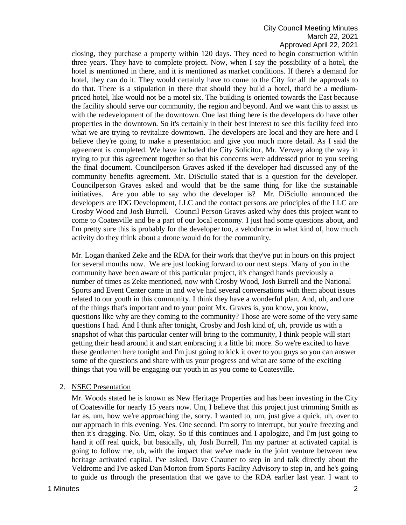closing, they purchase a property within 120 days. They need to begin construction within three years. They have to complete project. Now, when I say the possibility of a hotel, the hotel is mentioned in there, and it is mentioned as market conditions. If there's a demand for hotel, they can do it. They would certainly have to come to the City for all the approvals to do that. There is a stipulation in there that should they build a hotel, that'd be a mediumpriced hotel, like would not be a motel six. The building is oriented towards the East because the facility should serve our community, the region and beyond. And we want this to assist us with the redevelopment of the downtown. One last thing here is the developers do have other properties in the downtown. So it's certainly in their best interest to see this facility feed into what we are trying to revitalize downtown. The developers are local and they are here and I believe they're going to make a presentation and give you much more detail. As I said the agreement is completed. We have included the City Solicitor, Mr. Verwey along the way in trying to put this agreement together so that his concerns were addressed prior to you seeing the final document. Councilperson Graves asked if the developer had discussed any of the community benefits agreement. Mr. DiSciullo stated that is a question for the developer. Councilperson Graves asked and would that be the same thing for like the sustainable initiatives. Are you able to say who the developer is? Mr. DiSciullo announced the developers are IDG Development, LLC and the contact persons are principles of the LLC are Crosby Wood and Josh Burrell. Council Person Graves asked why does this project want to come to Coatesville and be a part of our local economy. I just had some questions about, and I'm pretty sure this is probably for the developer too, a velodrome in what kind of, how much activity do they think about a drone would do for the community.

Mr. Logan thanked Zeke and the RDA for their work that they've put in hours on this project for several months now. We are just looking forward to our next steps. Many of you in the community have been aware of this particular project, it's changed hands previously a number of times as Zeke mentioned, now with Crosby Wood, Josh Burrell and the National Sports and Event Center came in and we've had several conversations with them about issues related to our youth in this community. I think they have a wonderful plan. And, uh, and one of the things that's important and to your point Mx. Graves is, you know, you know, questions like why are they coming to the community? Those are were some of the very same questions I had. And I think after tonight, Crosby and Josh kind of, uh, provide us with a snapshot of what this particular center will bring to the community, I think people will start getting their head around it and start embracing it a little bit more. So we're excited to have these gentlemen here tonight and I'm just going to kick it over to you guys so you can answer some of the questions and share with us your progress and what are some of the exciting things that you will be engaging our youth in as you come to Coatesville.

#### 2. NSEC Presentation

Mr. Woods stated he is known as New Heritage Properties and has been investing in the City of Coatesville for nearly 15 years now. Um, I believe that this project just trimming Smith as far as, um, how we're approaching the, sorry. I wanted to, um, just give a quick, uh, over to our approach in this evening. Yes. One second. I'm sorry to interrupt, but you're freezing and then it's dragging. No. Um, okay. So if this continues and I apologize, and I'm just going to hand it off real quick, but basically, uh, Josh Burrell, I'm my partner at activated capital is going to follow me, uh, with the impact that we've made in the joint venture between new heritage activated capital. I've asked, Dave Chauner to step in and talk directly about the Veldrome and I've asked Dan Morton from Sports Facility Advisory to step in, and he's going to guide us through the presentation that we gave to the RDA earlier last year. I want to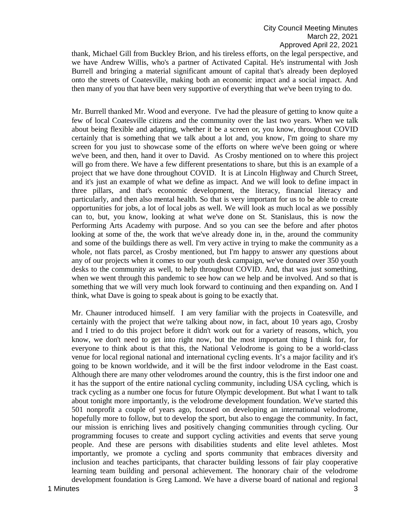thank, Michael Gill from Buckley Brion, and his tireless efforts, on the legal perspective, and we have Andrew Willis, who's a partner of Activated Capital. He's instrumental with Josh Burrell and bringing a material significant amount of capital that's already been deployed onto the streets of Coatesville, making both an economic impact and a social impact. And then many of you that have been very supportive of everything that we've been trying to do.

Mr. Burrell thanked Mr. Wood and everyone. I've had the pleasure of getting to know quite a few of local Coatesville citizens and the community over the last two years. When we talk about being flexible and adapting, whether it be a screen or, you know, throughout COVID certainly that is something that we talk about a lot and, you know, I'm going to share my screen for you just to showcase some of the efforts on where we've been going or where we've been, and then, hand it over to David. As Crosby mentioned on to where this project will go from there. We have a few different presentations to share, but this is an example of a project that we have done throughout COVID. It is at Lincoln Highway and Church Street, and it's just an example of what we define as impact. And we will look to define impact in three pillars, and that's economic development, the literacy, financial literacy and particularly, and then also mental health. So that is very important for us to be able to create opportunities for jobs, a lot of local jobs as well. We will look as much local as we possibly can to, but, you know, looking at what we've done on St. Stanislaus, this is now the Performing Arts Academy with purpose. And so you can see the before and after photos looking at some of the, the work that we've already done in, in the, around the community and some of the buildings there as well. I'm very active in trying to make the community as a whole, not flats parcel, as Crosby mentioned, but I'm happy to answer any questions about any of our projects when it comes to our youth desk campaign, we've donated over 350 youth desks to the community as well, to help throughout COVID. And, that was just something, when we went through this pandemic to see how can we help and be involved. And so that is something that we will very much look forward to continuing and then expanding on. And I think, what Dave is going to speak about is going to be exactly that.

Mr. Chauner introduced himself. I am very familiar with the projects in Coatesville, and certainly with the project that we're talking about now, in fact, about 10 years ago, Crosby and I tried to do this project before it didn't work out for a variety of reasons, which, you know, we don't need to get into right now, but the most important thing I think for, for everyone to think about is that this, the National Velodrome is going to be a world-class venue for local regional national and international cycling events. It's a major facility and it's going to be known worldwide, and it will be the first indoor velodrome in the East coast. Although there are many other velodromes around the country, this is the first indoor one and it has the support of the entire national cycling community, including USA cycling, which is track cycling as a number one focus for future Olympic development. But what I want to talk about tonight more importantly, is the velodrome development foundation. We've started this 501 nonprofit a couple of years ago, focused on developing an international velodrome, hopefully more to follow, but to develop the sport, but also to engage the community. In fact, our mission is enriching lives and positively changing communities through cycling. Our programming focuses to create and support cycling activities and events that serve young people. And these are persons with disabilities students and elite level athletes. Most importantly, we promote a cycling and sports community that embraces diversity and inclusion and teaches participants, that character building lessons of fair play cooperative learning team building and personal achievement. The honorary chair of the velodrome development foundation is Greg Lamond. We have a diverse board of national and regional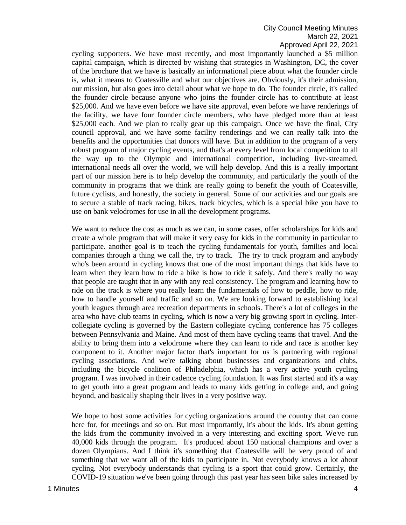cycling supporters. We have most recently, and most importantly launched a \$5 million capital campaign, which is directed by wishing that strategies in Washington, DC, the cover of the brochure that we have is basically an informational piece about what the founder circle is, what it means to Coatesville and what our objectives are. Obviously, it's their admission, our mission, but also goes into detail about what we hope to do. The founder circle, it's called the founder circle because anyone who joins the founder circle has to contribute at least \$25,000. And we have even before we have site approval, even before we have renderings of the facility, we have four founder circle members, who have pledged more than at least \$25,000 each. And we plan to really gear up this campaign. Once we have the final, City council approval, and we have some facility renderings and we can really talk into the benefits and the opportunities that donors will have. But in addition to the program of a very robust program of major cycling events, and that's at every level from local competition to all the way up to the Olympic and international competition, including live-streamed, international needs all over the world, we will help develop. And this is a really important part of our mission here is to help develop the community, and particularly the youth of the community in programs that we think are really going to benefit the youth of Coatesville, future cyclists, and honestly, the society in general. Some of our activities and our goals are to secure a stable of track racing, bikes, track bicycles, which is a special bike you have to use on bank velodromes for use in all the development programs.

We want to reduce the cost as much as we can, in some cases, offer scholarships for kids and create a whole program that will make it very easy for kids in the community in particular to participate. another goal is to teach the cycling fundamentals for youth, families and local companies through a thing we call the, try to track. The try to track program and anybody who's been around in cycling knows that one of the most important things that kids have to learn when they learn how to ride a bike is how to ride it safely. And there's really no way that people are taught that in any with any real consistency. The program and learning how to ride on the track is where you really learn the fundamentals of how to peddle, how to ride, how to handle yourself and traffic and so on. We are looking forward to establishing local youth leagues through area recreation departments in schools. There's a lot of colleges in the area who have club teams in cycling, which is now a very big growing sport in cycling. Intercollegiate cycling is governed by the Eastern collegiate cycling conference has 75 colleges between Pennsylvania and Maine. And most of them have cycling teams that travel. And the ability to bring them into a velodrome where they can learn to ride and race is another key component to it. Another major factor that's important for us is partnering with regional cycling associations. And we're talking about businesses and organizations and clubs, including the bicycle coalition of Philadelphia, which has a very active youth cycling program. I was involved in their cadence cycling foundation. It was first started and it's a way to get youth into a great program and leads to many kids getting in college and, and going beyond, and basically shaping their lives in a very positive way.

We hope to host some activities for cycling organizations around the country that can come here for, for meetings and so on. But most importantly, it's about the kids. It's about getting the kids from the community involved in a very interesting and exciting sport. We've run 40,000 kids through the program. It's produced about 150 national champions and over a dozen Olympians. And I think it's something that Coatesville will be very proud of and something that we want all of the kids to participate in. Not everybody knows a lot about cycling. Not everybody understands that cycling is a sport that could grow. Certainly, the COVID-19 situation we've been going through this past year has seen bike sales increased by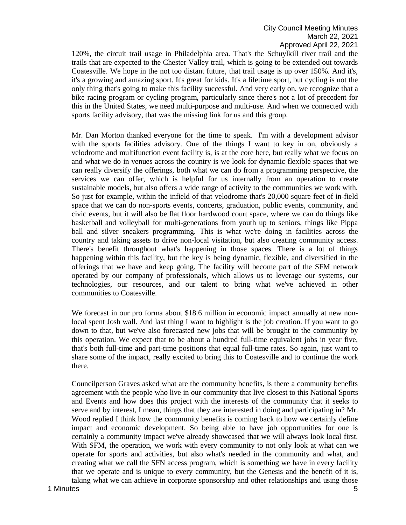120%, the circuit trail usage in Philadelphia area. That's the Schuylkill river trail and the trails that are expected to the Chester Valley trail, which is going to be extended out towards Coatesville. We hope in the not too distant future, that trail usage is up over 150%. And it's, it's a growing and amazing sport. It's great for kids. It's a lifetime sport, but cycling is not the only thing that's going to make this facility successful. And very early on, we recognize that a bike racing program or cycling program, particularly since there's not a lot of precedent for this in the United States, we need multi-purpose and multi-use. And when we connected with sports facility advisory, that was the missing link for us and this group.

Mr. Dan Morton thanked everyone for the time to speak. I'm with a development advisor with the sports facilities advisory. One of the things I want to key in on, obviously a velodrome and multifunction event facility is, is at the core here, but really what we focus on and what we do in venues across the country is we look for dynamic flexible spaces that we can really diversify the offerings, both what we can do from a programming perspective, the services we can offer, which is helpful for us internally from an operation to create sustainable models, but also offers a wide range of activity to the communities we work with. So just for example, within the infield of that velodrome that's 20,000 square feet of in-field space that we can do non-sports events, concerts, graduation, public events, community, and civic events, but it will also be flat floor hardwood court space, where we can do things like basketball and volleyball for multi-generations from youth up to seniors, things like Pippa ball and silver sneakers programming. This is what we're doing in facilities across the country and taking assets to drive non-local visitation, but also creating community access. There's benefit throughout what's happening in those spaces. There is a lot of things happening within this facility, but the key is being dynamic, flexible, and diversified in the offerings that we have and keep going. The facility will become part of the SFM network operated by our company of professionals, which allows us to leverage our systems, our technologies, our resources, and our talent to bring what we've achieved in other communities to Coatesville.

We forecast in our pro forma about \$18.6 million in economic impact annually at new nonlocal spent Josh wall. And last thing I want to highlight is the job creation. If you want to go down to that, but we've also forecasted new jobs that will be brought to the community by this operation. We expect that to be about a hundred full-time equivalent jobs in year five, that's both full-time and part-time positions that equal full-time rates. So again, just want to share some of the impact, really excited to bring this to Coatesville and to continue the work there.

Councilperson Graves asked what are the community benefits, is there a community benefits agreement with the people who live in our community that live closest to this National Sports and Events and how does this project with the interests of the community that it seeks to serve and by interest, I mean, things that they are interested in doing and participating in? Mr. Wood replied I think how the community benefits is coming back to how we certainly define impact and economic development. So being able to have job opportunities for one is certainly a community impact we've already showcased that we will always look local first. With SFM, the operation, we work with every community to not only look at what can we operate for sports and activities, but also what's needed in the community and what, and creating what we call the SFN access program, which is something we have in every facility that we operate and is unique to every community, but the Genesis and the benefit of it is, taking what we can achieve in corporate sponsorship and other relationships and using those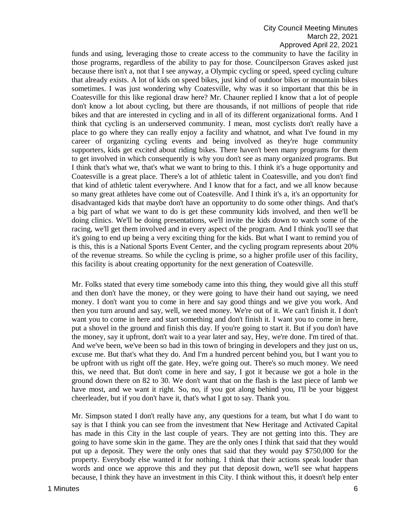funds and using, leveraging those to create access to the community to have the facility in those programs, regardless of the ability to pay for those. Councilperson Graves asked just because there isn't a, not that I see anyway, a Olympic cycling or speed, speed cycling culture that already exists. A lot of kids on speed bikes, just kind of outdoor bikes or mountain bikes sometimes. I was just wondering why Coatesville, why was it so important that this be in Coatesville for this like regional draw here? Mr. Chauner replied I know that a lot of people don't know a lot about cycling, but there are thousands, if not millions of people that ride bikes and that are interested in cycling and in all of its different organizational forms. And I think that cycling is an underserved community. I mean, most cyclists don't really have a place to go where they can really enjoy a facility and whatnot, and what I've found in my career of organizing cycling events and being involved as they're huge community supporters, kids get excited about riding bikes. There haven't been many programs for them to get involved in which consequently is why you don't see as many organized programs. But I think that's what we, that's what we want to bring to this. I think it's a huge opportunity and Coatesville is a great place. There's a lot of athletic talent in Coatesville, and you don't find that kind of athletic talent everywhere. And I know that for a fact, and we all know because so many great athletes have come out of Coatesville. And I think it's a, it's an opportunity for disadvantaged kids that maybe don't have an opportunity to do some other things. And that's a big part of what we want to do is get these community kids involved, and then we'll be doing clinics. We'll be doing presentations, we'll invite the kids down to watch some of the racing, we'll get them involved and in every aspect of the program. And I think you'll see that it's going to end up being a very exciting thing for the kids. But what I want to remind you of is this, this is a National Sports Event Center, and the cycling program represents about 20% of the revenue streams. So while the cycling is prime, so a higher profile user of this facility, this facility is about creating opportunity for the next generation of Coatesville.

Mr. Folks stated that every time somebody came into this thing, they would give all this stuff and then don't have the money, or they were going to have their hand out saying, we need money. I don't want you to come in here and say good things and we give you work. And then you turn around and say, well, we need money. We're out of it. We can't finish it. I don't want you to come in here and start something and don't finish it. I want you to come in here, put a shovel in the ground and finish this day. If you're going to start it. But if you don't have the money, say it upfront, don't wait to a year later and say, Hey, we're done. I'm tired of that. And we've been, we've been so bad in this town of bringing in developers and they just on us, excuse me. But that's what they do. And I'm a hundred percent behind you, but I want you to be upfront with us right off the gate. Hey, we're going out. There's so much money. We need this, we need that. But don't come in here and say, I got it because we got a hole in the ground down there on 82 to 30. We don't want that on the flash is the last piece of lamb we have most, and we want it right. So, no, if you got along behind you, I'll be your biggest cheerleader, but if you don't have it, that's what I got to say. Thank you.

Mr. Simpson stated I don't really have any, any questions for a team, but what I do want to say is that I think you can see from the investment that New Heritage and Activated Capital has made in this City in the last couple of years. They are not getting into this. They are going to have some skin in the game. They are the only ones I think that said that they would put up a deposit. They were the only ones that said that they would pay \$750,000 for the property. Everybody else wanted it for nothing. I think that their actions speak louder than words and once we approve this and they put that deposit down, we'll see what happens because, I think they have an investment in this City. I think without this, it doesn't help enter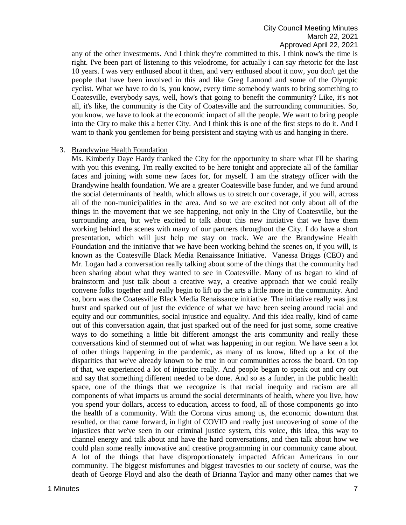any of the other investments. And I think they're committed to this. I think now's the time is right. I've been part of listening to this velodrome, for actually i can say rhetoric for the last 10 years. I was very enthused about it then, and very enthused about it now, you don't get the people that have been involved in this and like Greg Lamond and some of the Olympic cyclist. What we have to do is, you know, every time somebody wants to bring something to Coatesville, everybody says, well, how's that going to benefit the community? Like, it's not all, it's like, the community is the City of Coatesville and the surrounding communities. So, you know, we have to look at the economic impact of all the people. We want to bring people into the City to make this a better City. And I think this is one of the first steps to do it. And I want to thank you gentlemen for being persistent and staying with us and hanging in there.

#### 3. Brandywine Health Foundation

Ms. Kimberly Daye Hardy thanked the City for the opportunity to share what I'll be sharing with you this evening. I'm really excited to be here tonight and appreciate all of the familiar faces and joining with some new faces for, for myself. I am the strategy officer with the Brandywine health foundation. We are a greater Coatesville base funder, and we fund around the social determinants of health, which allows us to stretch our coverage, if you will, across all of the non-municipalities in the area. And so we are excited not only about all of the things in the movement that we see happening, not only in the City of Coatesville, but the surrounding area, but we're excited to talk about this new initiative that we have them working behind the scenes with many of our partners throughout the City. I do have a short presentation, which will just help me stay on track. We are the Brandywine Health Foundation and the initiative that we have been working behind the scenes on, if you will, is known as the Coatesville Black Media Renaissance Initiative. Vanessa Briggs (CEO) and Mr. Logan had a conversation really talking about some of the things that the community had been sharing about what they wanted to see in Coatesville. Many of us began to kind of brainstorm and just talk about a creative way, a creative approach that we could really convene folks together and really begin to lift up the arts a little more in the community. And so, born was the Coatesville Black Media Renaissance initiative. The initiative really was just burst and sparked out of just the evidence of what we have been seeing around racial and equity and our communities, social injustice and equality. And this idea really, kind of came out of this conversation again, that just sparked out of the need for just some, some creative ways to do something a little bit different amongst the arts community and really these conversations kind of stemmed out of what was happening in our region. We have seen a lot of other things happening in the pandemic, as many of us know, lifted up a lot of the disparities that we've already known to be true in our communities across the board. On top of that, we experienced a lot of injustice really. And people began to speak out and cry out and say that something different needed to be done. And so as a funder, in the public health space, one of the things that we recognize is that racial inequity and racism are all components of what impacts us around the social determinants of health, where you live, how you spend your dollars, access to education, access to food, all of those components go into the health of a community. With the Corona virus among us, the economic downturn that resulted, or that came forward, in light of COVID and really just uncovering of some of the injustices that we've seen in our criminal justice system, this voice, this idea, this way to channel energy and talk about and have the hard conversations, and then talk about how we could plan some really innovative and creative programming in our community came about. A lot of the things that have disproportionately impacted African Americans in our community. The biggest misfortunes and biggest travesties to our society of course, was the death of George Floyd and also the death of Brianna Taylor and many other names that we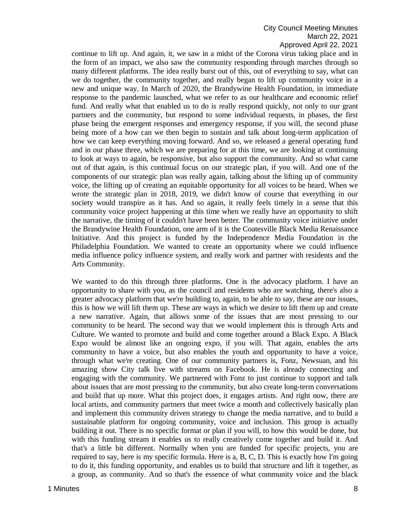continue to lift up. And again, it, we saw in a midst of the Corona virus taking place and in the form of an impact, we also saw the community responding through marches through so many different platforms. The idea really burst out of this, out of everything to say, what can we do together, the community together, and really began to lift up community voice in a new and unique way. In March of 2020, the Brandywine Health Foundation, in immediate response to the pandemic launched, what we refer to as our healthcare and economic relief fund. And really what that enabled us to do is really respond quickly, not only to our grant partners and the community, but respond to some individual requests, in phases, the first phase being the emergent responses and emergency response, if you will, the second phase being more of a how can we then begin to sustain and talk about long-term application of how we can keep everything moving forward. And so, we released a general operating fund and in our phase three, which we are preparing for at this time, we are looking at continuing to look at ways to again, be responsive, but also support the community. And so what came out of that again, is this continual focus on our strategic plan, if you will. And one of the components of our strategic plan was really again, talking about the lifting up of community voice, the lifting up of creating an equitable opportunity for all voices to be heard. When we wrote the strategic plan in 2018, 2019, we didn't know of course that everything in our society would transpire as it has. And so again, it really feels timely in a sense that this community voice project happening at this time when we really have an opportunity to shift the narrative, the timing of it couldn't have been better. The community voice initiative under the Brandywine Health Foundation, one arm of it is the Coatesville Black Media Renaissance Initiative. And this project is funded by the Independence Media Foundation in the Philadelphia Foundation. We wanted to create an opportunity where we could influence media influence policy influence system, and really work and partner with residents and the Arts Community.

We wanted to do this through three platforms. One is the advocacy platform. I have an opportunity to share with you, as the council and residents who are watching, there's also a greater advocacy platform that we're building to, again, to be able to say, these are our issues, this is how we will lift them up. These are ways in which we desire to lift them up and create a new narrative. Again, that allows some of the issues that are most pressing to our community to be heard. The second way that we would implement this is through Arts and Culture. We wanted to promote and build and come together around a Black Expo. A Black Expo would be almost like an ongoing expo, if you will. That again, enables the arts community to have a voice, but also enables the youth and opportunity to have a voice, through what we're creating. One of our community partners is, Fonz, Newsuan, and his amazing show City talk live with streams on Facebook. He is already connecting and engaging with the community. We partnered with Fonz to just continue to support and talk about issues that are most pressing to the community, but also create long-term conversations and build that up more. What this project does, it engages artists. And right now, there are local artists, and community partners that meet twice a month and collectively basically plan and implement this community driven strategy to change the media narrative, and to build a sustainable platform for ongoing community, voice and inclusion. This group is actually building it out. There is no specific format or plan if you will, to how this would be done, but with this funding stream it enables us to really creatively come together and build it. And that's a little bit different. Normally when you are funded for specific projects, you are required to say, here is my specific formula. Here is a, B, C, D. This is exactly how I'm going to do it, this funding opportunity, and enables us to build that structure and lift it together, as a group, as community. And so that's the essence of what community voice and the black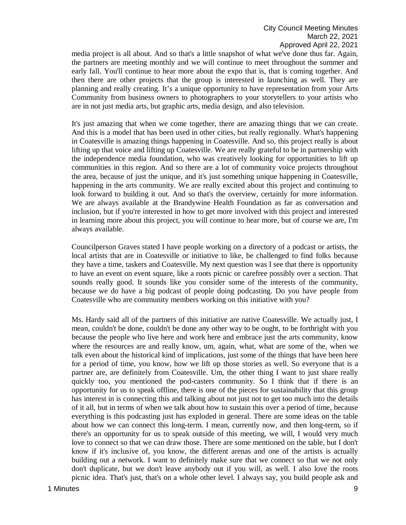media project is all about. And so that's a little snapshot of what we've done thus far. Again, the partners are meeting monthly and we will continue to meet throughout the summer and early fall. You'll continue to hear more about the expo that is, that is coming together. And then there are other projects that the group is interested in launching as well. They are planning and really creating. It's a unique opportunity to have representation from your Arts Community from business owners to photographers to your storytellers to your artists who are in not just media arts, but graphic arts, media design, and also television.

It's just amazing that when we come together, there are amazing things that we can create. And this is a model that has been used in other cities, but really regionally. What's happening in Coatesville is amazing things happening in Coatesville. And so, this project really is about lifting up that voice and lifting up Coatesville. We are really grateful to be in partnership with the independence media foundation, who was creatively looking for opportunities to lift up communities in this region. And so there are a lot of community voice projects throughout the area, because of just the unique, and it's just something unique happening in Coatesville, happening in the arts community. We are really excited about this project and continuing to look forward to building it out. And so that's the overview, certainly for more information. We are always available at the Brandywine Health Foundation as far as conversation and inclusion, but if you're interested in how to get more involved with this project and interested in learning more about this project, you will continue to hear more, but of course we are, I'm always available.

Councilperson Graves stated I have people working on a directory of a podcast or artists, the local artists that are in Coatesville or initiative to like, be challenged to find folks because they have a time, taskers and Coatesville. My next question was I see that there is opportunity to have an event on event square, like a roots picnic or carefree possibly over a section. That sounds really good. It sounds like you consider some of the interests of the community, because we do have a big podcast of people doing podcasting. Do you have people from Coatesville who are community members working on this initiative with you?

Ms. Hardy said all of the partners of this initiative are native Coatesville. We actually just, I mean, couldn't be done, couldn't be done any other way to be ought, to be forthright with you because the people who live here and work here and embrace just the arts community, know where the resources are and really know, um, again, what, what are some of the, when we talk even about the historical kind of implications, just some of the things that have been here for a period of time, you know, how we lift up those stories as well. So everyone that is a partner are, are definitely from Coatesville. Um, the other thing I want to just share really quickly too, you mentioned the pod-casters community. So I think that if there is an opportunity for us to speak offline, there is one of the pieces for sustainability that this group has interest in is connecting this and talking about not just not to get too much into the details of it all, but in terms of when we talk about how to sustain this over a period of time, because everything is this podcasting just has exploded in general. There are some ideas on the table about how we can connect this long-term. I mean, currently now, and then long-term, so if there's an opportunity for us to speak outside of this meeting, we will, I would very much love to connect so that we can draw those. There are some mentioned on the table, but I don't know if it's inclusive of, you know, the different arenas and one of the artists is actually building out a network. I want to definitely make sure that we connect so that we not only don't duplicate, but we don't leave anybody out if you will, as well. I also love the roots picnic idea. That's just, that's on a whole other level. I always say, you build people ask and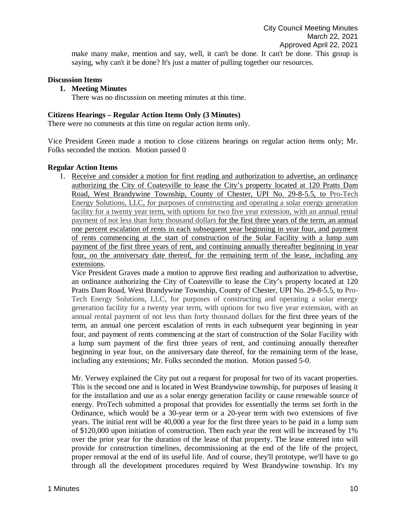make many make, mention and say, well, it can't be done. It can't be done. This group is saying, why can't it be done? It's just a matter of pulling together our resources.

### **Discussion Items**

#### **1. Meeting Minutes**

There was no discussion on meeting minutes at this time.

#### **Citizens Hearings – Regular Action Items Only (3 Minutes)**

There were no comments at this time on regular action items only.

Vice President Green made a motion to close citizens hearings on regular action items only; Mr. Folks seconded the motion. Motion passed 0

### **Regular Action Items**

1. Receive and consider a motion for first reading and authorization to advertise, an ordinance authorizing the City of Coatesville to lease the City's property located at 120 Pratts Dam Road, West Brandywine Township, County of Chester, UPI No. 29-8-5.5, to Pro-Tech Energy Solutions, LLC, for purposes of constructing and operating a solar energy generation facility for a twenty year term, with options for two five year extension, with an annual rental payment of not less than forty thousand dollars for the first three years of the term, an annual one percent escalation of rents in each subsequent year beginning in year four, and payment of rents commencing at the start of construction of the Solar Facility with a lump sum payment of the first three years of rent, and continuing annually thereafter beginning in year four, on the anniversary date thereof, for the remaining term of the lease, including any extensions.

Vice President Graves made a motion to approve first reading and authorization to advertise, an ordinance authorizing the City of Coatesville to lease the City's property located at 120 Pratts Dam Road, West Brandywine Township, County of Chester, UPI No. 29-8-5.5, to Pro-Tech Energy Solutions, LLC, for purposes of constructing and operating a solar energy generation facility for a twenty year term, with options for two five year extension, with an annual rental payment of not less than forty thousand dollars for the first three years of the term, an annual one percent escalation of rents in each subsequent year beginning in year four, and payment of rents commencing at the start of construction of the Solar Facility with a lump sum payment of the first three years of rent, and continuing annually thereafter beginning in year four, on the anniversary date thereof, for the remaining term of the lease, including any extensions; Mr. Folks seconded the motion. Motion passed 5-0.

Mr. Verwey explained the City put out a request for proposal for two of its vacant properties. This is the second one and is located in West Brandywine township, for purposes of leasing it for the installation and use as a solar energy generation facility or cause renewable source of energy. ProTech submitted a proposal that provides for essentially the terms set forth in the Ordinance, which would be a 30-year term or a 20-year term with two extensions of five years. The initial rent will be 40,000 a year for the first three years to be paid in a lump sum of \$120,000 upon initiation of construction. Then each year the rent will be increased by 1% over the prior year for the duration of the lease of that property. The lease entered into will provide for construction timelines, decommissioning at the end of the life of the project, proper removal at the end of its useful life. And of course, they'll prototype, we'll have to go through all the development procedures required by West Brandywine township. It's my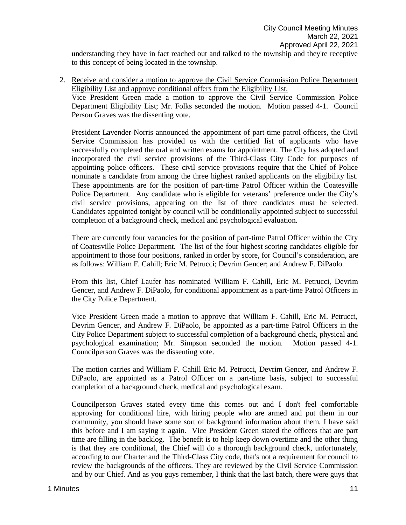understanding they have in fact reached out and talked to the township and they're receptive to this concept of being located in the township.

2. Receive and consider a motion to approve the Civil Service Commission Police Department Eligibility List and approve conditional offers from the Eligibility List.

Vice President Green made a motion to approve the Civil Service Commission Police Department Eligibility List; Mr. Folks seconded the motion. Motion passed 4-1. Council Person Graves was the dissenting vote.

President Lavender-Norris announced the appointment of part-time patrol officers, the Civil Service Commission has provided us with the certified list of applicants who have successfully completed the oral and written exams for appointment. The City has adopted and incorporated the civil service provisions of the Third-Class City Code for purposes of appointing police officers. These civil service provisions require that the Chief of Police nominate a candidate from among the three highest ranked applicants on the eligibility list. These appointments are for the position of part-time Patrol Officer within the Coatesville Police Department. Any candidate who is eligible for veterans' preference under the City's civil service provisions, appearing on the list of three candidates must be selected. Candidates appointed tonight by council will be conditionally appointed subject to successful completion of a background check, medical and psychological evaluation.

There are currently four vacancies for the position of part-time Patrol Officer within the City of Coatesville Police Department. The list of the four highest scoring candidates eligible for appointment to those four positions, ranked in order by score, for Council's consideration, are as follows: William F. Cahill; Eric M. Petrucci; Devrim Gencer; and Andrew F. DiPaolo.

From this list, Chief Laufer has nominated William F. Cahill, Eric M. Petrucci, Devrim Gencer, and Andrew F. DiPaolo, for conditional appointment as a part-time Patrol Officers in the City Police Department.

Vice President Green made a motion to approve that William F. Cahill, Eric M. Petrucci, Devrim Gencer, and Andrew F. DiPaolo, be appointed as a part-time Patrol Officers in the City Police Department subject to successful completion of a background check, physical and psychological examination; Mr. Simpson seconded the motion. Motion passed 4-1. Councilperson Graves was the dissenting vote.

The motion carries and William F. Cahill Eric M. Petrucci, Devrim Gencer, and Andrew F. DiPaolo, are appointed as a Patrol Officer on a part-time basis, subject to successful completion of a background check, medical and psychological exam.

Councilperson Graves stated every time this comes out and I don't feel comfortable approving for conditional hire, with hiring people who are armed and put them in our community, you should have some sort of background information about them. I have said this before and I am saying it again. Vice President Green stated the officers that are part time are filling in the backlog. The benefit is to help keep down overtime and the other thing is that they are conditional, the Chief will do a thorough background check, unfortunately, according to our Charter and the Third-Class City code, that's not a requirement for council to review the backgrounds of the officers. They are reviewed by the Civil Service Commission and by our Chief. And as you guys remember, I think that the last batch, there were guys that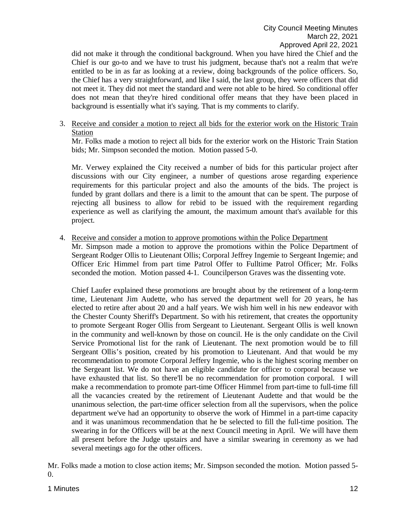did not make it through the conditional background. When you have hired the Chief and the Chief is our go-to and we have to trust his judgment, because that's not a realm that we're entitled to be in as far as looking at a review, doing backgrounds of the police officers. So, the Chief has a very straightforward, and like I said, the last group, they were officers that did not meet it. They did not meet the standard and were not able to be hired. So conditional offer does not mean that they're hired conditional offer means that they have been placed in background is essentially what it's saying. That is my comments to clarify.

3. Receive and consider a motion to reject all bids for the exterior work on the Historic Train Station

Mr. Folks made a motion to reject all bids for the exterior work on the Historic Train Station bids; Mr. Simpson seconded the motion. Motion passed 5-0.

Mr. Verwey explained the City received a number of bids for this particular project after discussions with our City engineer, a number of questions arose regarding experience requirements for this particular project and also the amounts of the bids. The project is funded by grant dollars and there is a limit to the amount that can be spent. The purpose of rejecting all business to allow for rebid to be issued with the requirement regarding experience as well as clarifying the amount, the maximum amount that's available for this project.

4. Receive and consider a motion to approve promotions within the Police Department Mr. Simpson made a motion to approve the promotions within the Police Department of Sergeant Rodger Ollis to Lieutenant Ollis; Corporal Jeffrey Ingemie to Sergeant Ingemie; and Officer Eric Himmel from part time Patrol Offer to Fulltime Patrol Officer; Mr. Folks seconded the motion. Motion passed 4-1. Councilperson Graves was the dissenting vote.

Chief Laufer explained these promotions are brought about by the retirement of a long-term time, Lieutenant Jim Audette, who has served the department well for 20 years, he has elected to retire after about 20 and a half years. We wish him well in his new endeavor with the Chester County Sheriff's Department. So with his retirement, that creates the opportunity to promote Sergeant Roger Ollis from Sergeant to Lieutenant. Sergeant Ollis is well known in the community and well-known by those on council. He is the only candidate on the Civil Service Promotional list for the rank of Lieutenant. The next promotion would be to fill Sergeant Ollis's position, created by his promotion to Lieutenant. And that would be my recommendation to promote Corporal Jeffery Ingemie, who is the highest scoring member on the Sergeant list. We do not have an eligible candidate for officer to corporal because we have exhausted that list. So there'll be no recommendation for promotion corporal. I will make a recommendation to promote part-time Officer Himmel from part-time to full-time fill all the vacancies created by the retirement of Lieutenant Audette and that would be the unanimous selection, the part-time officer selection from all the supervisors, when the police department we've had an opportunity to observe the work of Himmel in a part-time capacity and it was unanimous recommendation that he be selected to fill the full-time position. The swearing in for the Officers will be at the next Council meeting in April. We will have them all present before the Judge upstairs and have a similar swearing in ceremony as we had several meetings ago for the other officers.

Mr. Folks made a motion to close action items; Mr. Simpson seconded the motion. Motion passed 5- 0.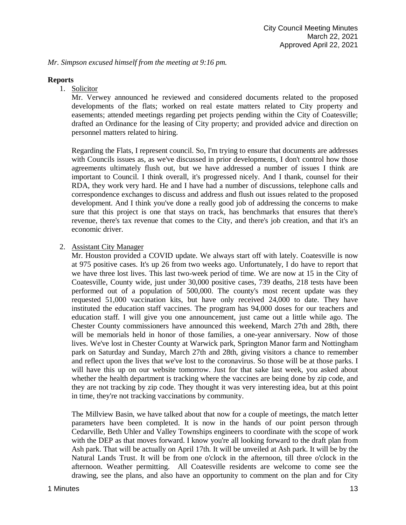*Mr. Simpson excused himself from the meeting at 9:16 pm.* 

### **Reports**

1. Solicitor

Mr. Verwey announced he reviewed and considered documents related to the proposed developments of the flats; worked on real estate matters related to City property and easements; attended meetings regarding pet projects pending within the City of Coatesville; drafted an Ordinance for the leasing of City property; and provided advice and direction on personnel matters related to hiring.

Regarding the Flats, I represent council. So, I'm trying to ensure that documents are addresses with Councils issues as, as we've discussed in prior developments, I don't control how those agreements ultimately flush out, but we have addressed a number of issues I think are important to Council. I think overall, it's progressed nicely. And I thank, counsel for their RDA, they work very hard. He and I have had a number of discussions, telephone calls and correspondence exchanges to discuss and address and flush out issues related to the proposed development. And I think you've done a really good job of addressing the concerns to make sure that this project is one that stays on track, has benchmarks that ensures that there's revenue, there's tax revenue that comes to the City, and there's job creation, and that it's an economic driver.

### 2. Assistant City Manager

Mr. Houston provided a COVID update. We always start off with lately. Coatesville is now at 975 positive cases. It's up 26 from two weeks ago. Unfortunately, I do have to report that we have three lost lives. This last two-week period of time. We are now at 15 in the City of Coatesville, County wide, just under 30,000 positive cases, 739 deaths, 218 tests have been performed out of a population of 500,000. The county's most recent update was they requested 51,000 vaccination kits, but have only received 24,000 to date. They have instituted the education staff vaccines. The program has 94,000 doses for our teachers and education staff. I will give you one announcement, just came out a little while ago. The Chester County commissioners have announced this weekend, March 27th and 28th, there will be memorials held in honor of those families, a one-year anniversary. Now of those lives. We've lost in Chester County at Warwick park, Springton Manor farm and Nottingham park on Saturday and Sunday, March 27th and 28th, giving visitors a chance to remember and reflect upon the lives that we've lost to the coronavirus. So those will be at those parks. I will have this up on our website tomorrow. Just for that sake last week, you asked about whether the health department is tracking where the vaccines are being done by zip code, and they are not tracking by zip code. They thought it was very interesting idea, but at this point in time, they're not tracking vaccinations by community.

The Millview Basin, we have talked about that now for a couple of meetings, the match letter parameters have been completed. It is now in the hands of our point person through Cedarville, Beth Uhler and Valley Townships engineers to coordinate with the scope of work with the DEP as that moves forward. I know you're all looking forward to the draft plan from Ash park. That will be actually on April 17th. It will be unveiled at Ash park. It will be by the Natural Lands Trust. It will be from one o'clock in the afternoon, till three o'clock in the afternoon. Weather permitting. All Coatesville residents are welcome to come see the drawing, see the plans, and also have an opportunity to comment on the plan and for City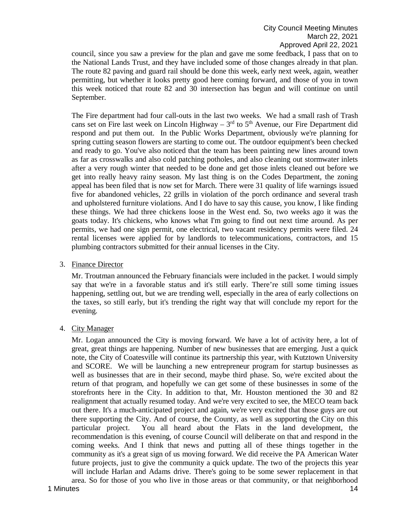council, since you saw a preview for the plan and gave me some feedback, I pass that on to the National Lands Trust, and they have included some of those changes already in that plan. The route 82 paving and guard rail should be done this week, early next week, again, weather permitting, but whether it looks pretty good here coming forward, and those of you in town this week noticed that route 82 and 30 intersection has begun and will continue on until September.

The Fire department had four call-outs in the last two weeks. We had a small rash of Trash cans set on Fire last week on Lincoln Highway –  $3<sup>rd</sup>$  to  $5<sup>th</sup>$  Avenue, our Fire Department did respond and put them out. In the Public Works Department, obviously we're planning for spring cutting season flowers are starting to come out. The outdoor equipment's been checked and ready to go. You've also noticed that the team has been painting new lines around town as far as crosswalks and also cold patching potholes, and also cleaning out stormwater inlets after a very rough winter that needed to be done and get those inlets cleaned out before we get into really heavy rainy season. My last thing is on the Codes Department, the zoning appeal has been filed that is now set for March. There were 31 quality of life warnings issued five for abandoned vehicles, 22 grills in violation of the porch ordinance and several trash and upholstered furniture violations. And I do have to say this cause, you know, I like finding these things. We had three chickens loose in the West end. So, two weeks ago it was the goats today. It's chickens, who knows what I'm going to find out next time around. As per permits, we had one sign permit, one electrical, two vacant residency permits were filed. 24 rental licenses were applied for by landlords to telecommunications, contractors, and 15 plumbing contractors submitted for their annual licenses in the City.

3. Finance Director

Mr. Troutman announced the February financials were included in the packet. I would simply say that we're in a favorable status and it's still early. There're still some timing issues happening, settling out, but we are trending well, especially in the area of early collections on the taxes, so still early, but it's trending the right way that will conclude my report for the evening.

4. City Manager

1 Minutes **14** Mr. Logan announced the City is moving forward. We have a lot of activity here, a lot of great, great things are happening. Number of new businesses that are emerging. Just a quick note, the City of Coatesville will continue its partnership this year, with Kutztown University and SCORE. We will be launching a new entrepreneur program for startup businesses as well as businesses that are in their second, maybe third phase. So, we're excited about the return of that program, and hopefully we can get some of these businesses in some of the storefronts here in the City. In addition to that, Mr. Houston mentioned the 30 and 82 realignment that actually resumed today. And we're very excited to see, the MECO team back out there. It's a much-anticipated project and again, we're very excited that those guys are out there supporting the City. And of course, the County, as well as supporting the City on this particular project. You all heard about the Flats in the land development, the recommendation is this evening, of course Council will deliberate on that and respond in the coming weeks. And I think that news and putting all of these things together in the community as it's a great sign of us moving forward. We did receive the PA American Water future projects, just to give the community a quick update. The two of the projects this year will include Harlan and Adams drive. There's going to be some sewer replacement in that area. So for those of you who live in those areas or that community, or that neighborhood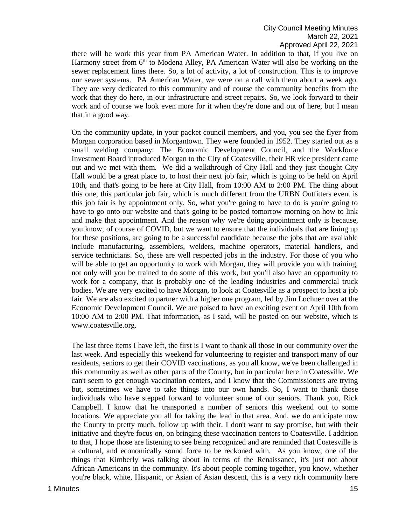there will be work this year from PA American Water. In addition to that, if you live on Harmony street from 6<sup>th</sup> to Modena Alley, PA American Water will also be working on the sewer replacement lines there. So, a lot of activity, a lot of construction. This is to improve our sewer systems. PA American Water, we were on a call with them about a week ago. They are very dedicated to this community and of course the community benefits from the work that they do here, in our infrastructure and street repairs. So, we look forward to their work and of course we look even more for it when they're done and out of here, but I mean that in a good way.

On the community update, in your packet council members, and you, you see the flyer from Morgan corporation based in Morgantown. They were founded in 1952. They started out as a small welding company. The Economic Development Council, and the Workforce Investment Board introduced Morgan to the City of Coatesville, their HR vice president came out and we met with them. We did a walkthrough of City Hall and they just thought City Hall would be a great place to, to host their next job fair, which is going to be held on April 10th, and that's going to be here at City Hall, from 10:00 AM to 2:00 PM. The thing about this one, this particular job fair, which is much different from the URBN Outfitters event is this job fair is by appointment only. So, what you're going to have to do is you're going to have to go onto our website and that's going to be posted tomorrow morning on how to link and make that appointment. And the reason why we're doing appointment only is because, you know, of course of COVID, but we want to ensure that the individuals that are lining up for these positions, are going to be a successful candidate because the jobs that are available include manufacturing, assemblers, welders, machine operators, material handlers, and service technicians. So, these are well respected jobs in the industry. For those of you who will be able to get an opportunity to work with Morgan, they will provide you with training, not only will you be trained to do some of this work, but you'll also have an opportunity to work for a company, that is probably one of the leading industries and commercial truck bodies. We are very excited to have Morgan, to look at Coatesville as a prospect to host a job fair. We are also excited to partner with a higher one program, led by Jim Lochner over at the Economic Development Council. We are poised to have an exciting event on April 10th from 10:00 AM to 2:00 PM. That information, as I said, will be posted on our website, which is www.coatesville.org.

The last three items I have left, the first is I want to thank all those in our community over the last week. And especially this weekend for volunteering to register and transport many of our residents, seniors to get their COVID vaccinations, as you all know, we've been challenged in this community as well as other parts of the County, but in particular here in Coatesville. We can't seem to get enough vaccination centers, and I know that the Commissioners are trying but, sometimes we have to take things into our own hands. So, I want to thank those individuals who have stepped forward to volunteer some of our seniors. Thank you, Rick Campbell. I know that he transported a number of seniors this weekend out to some locations. We appreciate you all for taking the lead in that area. And, we do anticipate now the County to pretty much, follow up with their, I don't want to say promise, but with their initiative and they're focus on, on bringing these vaccination centers to Coatesville. I addition to that, I hope those are listening to see being recognized and are reminded that Coatesville is a cultural, and economically sound force to be reckoned with. As you know, one of the things that Kimberly was talking about in terms of the Renaissance, it's just not about African-Americans in the community. It's about people coming together, you know, whether you're black, white, Hispanic, or Asian of Asian descent, this is a very rich community here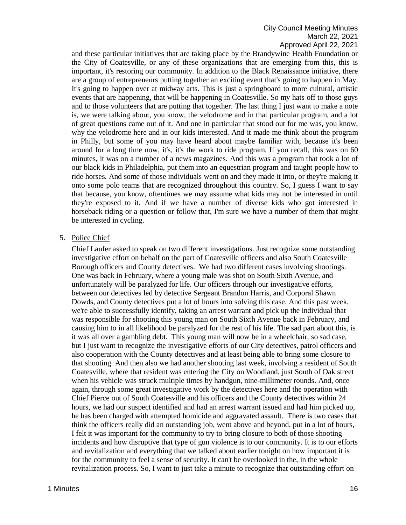and these particular initiatives that are taking place by the Brandywine Health Foundation or the City of Coatesville, or any of these organizations that are emerging from this, this is important, it's restoring our community. In addition to the Black Renaissance initiative, there are a group of entrepreneurs putting together an exciting event that's going to happen in May. It's going to happen over at midway arts. This is just a springboard to more cultural, artistic events that are happening, that will be happening in Coatesville. So my hats off to those guys and to those volunteers that are putting that together. The last thing I just want to make a note is, we were talking about, you know, the velodrome and in that particular program, and a lot of great questions came out of it. And one in particular that stood out for me was, you know, why the velodrome here and in our kids interested. And it made me think about the program in Philly, but some of you may have heard about maybe familiar with, because it's been around for a long time now, it's, it's the work to ride program. If you recall, this was on 60 minutes, it was on a number of a news magazines. And this was a program that took a lot of our black kids in Philadelphia, put them into an equestrian program and taught people how to ride horses. And some of those individuals went on and they made it into, or they're making it onto some polo teams that are recognized throughout this country. So, I guess I want to say that because, you know, oftentimes we may assume what kids may not be interested in until they're exposed to it. And if we have a number of diverse kids who got interested in horseback riding or a question or follow that, I'm sure we have a number of them that might be interested in cycling.

### 5. Police Chief

Chief Laufer asked to speak on two different investigations. Just recognize some outstanding investigative effort on behalf on the part of Coatesville officers and also South Coatesville Borough officers and County detectives. We had two different cases involving shootings. One was back in February, where a young male was shot on South Sixth Avenue, and unfortunately will be paralyzed for life. Our officers through our investigative efforts, between our detectives led by detective Sergeant Brandon Harris, and Corporal Shawn Dowds, and County detectives put a lot of hours into solving this case. And this past week, we're able to successfully identify, taking an arrest warrant and pick up the individual that was responsible for shooting this young man on South Sixth Avenue back in February, and causing him to in all likelihood be paralyzed for the rest of his life. The sad part about this, is it was all over a gambling debt. This young man will now be in a wheelchair, so sad case, but I just want to recognize the investigative efforts of our City detectives, patrol officers and also cooperation with the County detectives and at least being able to bring some closure to that shooting. And then also we had another shooting last week, involving a resident of South Coatesville, where that resident was entering the City on Woodland, just South of Oak street when his vehicle was struck multiple times by handgun, nine-millimeter rounds. And, once again, through some great investigative work by the detectives here and the operation with Chief Pierce out of South Coatesville and his officers and the County detectives within 24 hours, we had our suspect identified and had an arrest warrant issued and had him picked up, he has been charged with attempted homicide and aggravated assault. There is two cases that think the officers really did an outstanding job, went above and beyond, put in a lot of hours, I felt it was important for the community to try to bring closure to both of those shooting incidents and how disruptive that type of gun violence is to our community. It is to our efforts and revitalization and everything that we talked about earlier tonight on how important it is for the community to feel a sense of security. It can't be overlooked in the, in the whole revitalization process. So, I want to just take a minute to recognize that outstanding effort on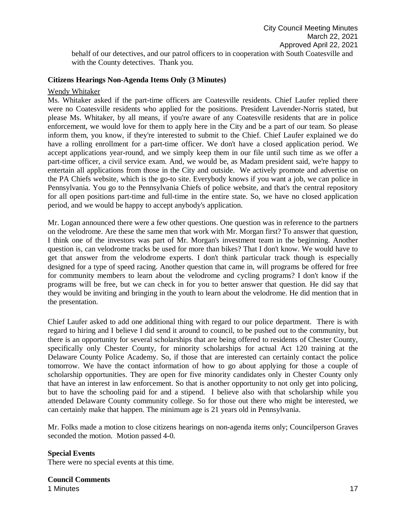behalf of our detectives, and our patrol officers to in cooperation with South Coatesville and with the County detectives. Thank you.

### **Citizens Hearings Non-Agenda Items Only (3 Minutes)**

#### Wendy Whitaker

Ms. Whitaker asked if the part-time officers are Coatesville residents. Chief Laufer replied there were no Coatesville residents who applied for the positions. President Lavender-Norris stated, but please Ms. Whitaker, by all means, if you're aware of any Coatesville residents that are in police enforcement, we would love for them to apply here in the City and be a part of our team. So please inform them, you know, if they're interested to submit to the Chief. Chief Laufer explained we do have a rolling enrollment for a part-time officer. We don't have a closed application period. We accept applications year-round, and we simply keep them in our file until such time as we offer a part-time officer, a civil service exam. And, we would be, as Madam president said, we're happy to entertain all applications from those in the City and outside. We actively promote and advertise on the PA Chiefs website, which is the go-to site. Everybody knows if you want a job, we can police in Pennsylvania. You go to the Pennsylvania Chiefs of police website, and that's the central repository for all open positions part-time and full-time in the entire state. So, we have no closed application period, and we would be happy to accept anybody's application.

Mr. Logan announced there were a few other questions. One question was in reference to the partners on the velodrome. Are these the same men that work with Mr. Morgan first? To answer that question, I think one of the investors was part of Mr. Morgan's investment team in the beginning. Another question is, can velodrome tracks be used for more than bikes? That I don't know. We would have to get that answer from the velodrome experts. I don't think particular track though is especially designed for a type of speed racing. Another question that came in, will programs be offered for free for community members to learn about the velodrome and cycling programs? I don't know if the programs will be free, but we can check in for you to better answer that question. He did say that they would be inviting and bringing in the youth to learn about the velodrome. He did mention that in the presentation.

Chief Laufer asked to add one additional thing with regard to our police department. There is with regard to hiring and I believe I did send it around to council, to be pushed out to the community, but there is an opportunity for several scholarships that are being offered to residents of Chester County, specifically only Chester County, for minority scholarships for actual Act 120 training at the Delaware County Police Academy. So, if those that are interested can certainly contact the police tomorrow. We have the contact information of how to go about applying for those a couple of scholarship opportunities. They are open for five minority candidates only in Chester County only that have an interest in law enforcement. So that is another opportunity to not only get into policing, but to have the schooling paid for and a stipend. I believe also with that scholarship while you attended Delaware County community college. So for those out there who might be interested, we can certainly make that happen. The minimum age is 21 years old in Pennsylvania.

Mr. Folks made a motion to close citizens hearings on non-agenda items only; Councilperson Graves seconded the motion. Motion passed 4-0.

#### **Special Events**

There were no special events at this time.

1 Minutes **17 Council Comments**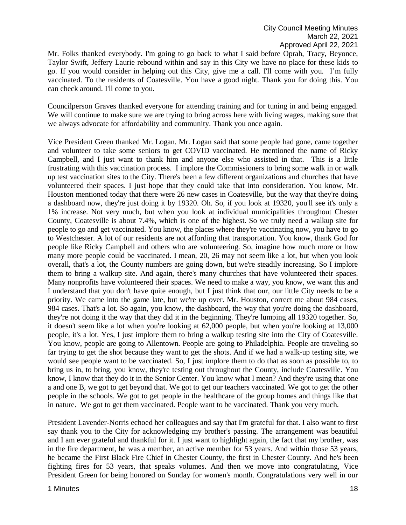Mr. Folks thanked everybody. I'm going to go back to what I said before Oprah, Tracy, Beyonce, Taylor Swift, Jeffery Laurie rebound within and say in this City we have no place for these kids to go. If you would consider in helping out this City, give me a call. I'll come with you. I'm fully vaccinated. To the residents of Coatesville. You have a good night. Thank you for doing this. You can check around. I'll come to you.

Councilperson Graves thanked everyone for attending training and for tuning in and being engaged. We will continue to make sure we are trying to bring across here with living wages, making sure that we always advocate for affordability and community. Thank you once again.

Vice President Green thanked Mr. Logan. Mr. Logan said that some people had gone, came together and volunteer to take some seniors to get COVID vaccinated. He mentioned the name of Ricky Campbell, and I just want to thank him and anyone else who assisted in that. This is a little frustrating with this vaccination process. I implore the Commissioners to bring some walk in or walk up test vaccination sites to the City. There's been a few different organizations and churches that have volunteered their spaces. I just hope that they could take that into consideration. You know, Mr. Houston mentioned today that there were 26 new cases in Coatesville, but the way that they're doing a dashboard now, they're just doing it by 19320. Oh. So, if you look at 19320, you'll see it's only a 1% increase. Not very much, but when you look at individual municipalities throughout Chester County, Coatesville is about 7.4%, which is one of the highest. So we truly need a walkup site for people to go and get vaccinated. You know, the places where they're vaccinating now, you have to go to Westchester. A lot of our residents are not affording that transportation. You know, thank God for people like Ricky Campbell and others who are volunteering. So, imagine how much more or how many more people could be vaccinated. I mean, 20, 26 may not seem like a lot, but when you look overall, that's a lot, the County numbers are going down, but we're steadily increasing. So I implore them to bring a walkup site. And again, there's many churches that have volunteered their spaces. Many nonprofits have volunteered their spaces. We need to make a way, you know, we want this and I understand that you don't have quite enough, but I just think that our, our little City needs to be a priority. We came into the game late, but we're up over. Mr. Houston, correct me about 984 cases, 984 cases. That's a lot. So again, you know, the dashboard, the way that you're doing the dashboard, they're not doing it the way that they did it in the beginning. They're lumping all 19320 together. So, it doesn't seem like a lot when you're looking at 62,000 people, but when you're looking at 13,000 people, it's a lot. Yes, I just implore them to bring a walkup testing site into the City of Coatesville. You know, people are going to Allentown. People are going to Philadelphia. People are traveling so far trying to get the shot because they want to get the shots. And if we had a walk-up testing site, we would see people want to be vaccinated. So, I just implore them to do that as soon as possible to, to bring us in, to bring, you know, they're testing out throughout the County, include Coatesville. You know, I know that they do it in the Senior Center. You know what I mean? And they're using that one a and one B, we got to get beyond that. We got to get our teachers vaccinated. We got to get the other people in the schools. We got to get people in the healthcare of the group homes and things like that in nature. We got to get them vaccinated. People want to be vaccinated. Thank you very much.

President Lavender-Norris echoed her colleagues and say that I'm grateful for that. I also want to first say thank you to the City for acknowledging my brother's passing. The arrangement was beautiful and I am ever grateful and thankful for it. I just want to highlight again, the fact that my brother, was in the fire department, he was a member, an active member for 53 years. And within those 53 years, he became the First Black Fire Chief in Chester County, the first in Chester County. And he's been fighting fires for 53 years, that speaks volumes. And then we move into congratulating, Vice President Green for being honored on Sunday for women's month. Congratulations very well in our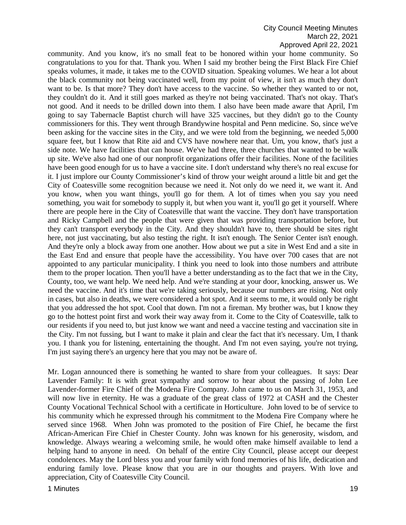community. And you know, it's no small feat to be honored within your home community. So congratulations to you for that. Thank you. When I said my brother being the First Black Fire Chief speaks volumes, it made, it takes me to the COVID situation. Speaking volumes. We hear a lot about the black community not being vaccinated well, from my point of view, it isn't as much they don't want to be. Is that more? They don't have access to the vaccine. So whether they wanted to or not, they couldn't do it. And it still goes marked as they're not being vaccinated. That's not okay. That's not good. And it needs to be drilled down into them. I also have been made aware that April, I'm going to say Tabernacle Baptist church will have 325 vaccines, but they didn't go to the County commissioners for this. They went through Brandywine hospital and Penn medicine. So, since we've been asking for the vaccine sites in the City, and we were told from the beginning, we needed 5,000 square feet, but I know that Rite aid and CVS have nowhere near that. Um, you know, that's just a side note. We have facilities that can house. We've had three, three churches that wanted to be walk up site. We've also had one of our nonprofit organizations offer their facilities. None of the facilities have been good enough for us to have a vaccine site. I don't understand why there's no real excuse for it. I just implore our County Commissioner's kind of throw your weight around a little bit and get the City of Coatesville some recognition because we need it. Not only do we need it, we want it. And you know, when you want things, you'll go for them. A lot of times when you say you need something, you wait for somebody to supply it, but when you want it, you'll go get it yourself. Where there are people here in the City of Coatesville that want the vaccine. They don't have transportation and Ricky Campbell and the people that were given that was providing transportation before, but they can't transport everybody in the City. And they shouldn't have to, there should be sites right here, not just vaccinating, but also testing the right. It isn't enough. The Senior Center isn't enough. And they're only a block away from one another. How about we put a site in West End and a site in the East End and ensure that people have the accessibility. You have over 700 cases that are not appointed to any particular municipality. I think you need to look into those numbers and attribute them to the proper location. Then you'll have a better understanding as to the fact that we in the City, County, too, we want help. We need help. And we're standing at your door, knocking, answer us. We need the vaccine. And it's time that we're taking seriously, because our numbers are rising. Not only in cases, but also in deaths, we were considered a hot spot. And it seems to me, it would only be right that you addressed the hot spot. Cool that down. I'm not a fireman. My brother was, but I know they go to the hottest point first and work their way away from it. Come to the City of Coatesville, talk to our residents if you need to, but just know we want and need a vaccine testing and vaccination site in the City. I'm not fussing, but I want to make it plain and clear the fact that it's necessary. Um, I thank you. I thank you for listening, entertaining the thought. And I'm not even saying, you're not trying, I'm just saying there's an urgency here that you may not be aware of.

Mr. Logan announced there is something he wanted to share from your colleagues. It says: Dear Lavender Family: It is with great sympathy and sorrow to hear about the passing of John Lee Lavender-former Fire Chief of the Modena Fire Company. John came to us on March 31, 1953, and will now live in eternity. He was a graduate of the great class of 1972 at CASH and the Chester County Vocational Technical School with a certificate in Horticulture. John loved to be of service to his community which he expressed through his commitment to the Modena Fire Company where he served since 1968. When John was promoted to the position of Fire Chief, he became the first African-American Fire Chief in Chester County. John was known for his generosity, wisdom, and knowledge. Always wearing a welcoming smile, he would often make himself available to lend a helping hand to anyone in need. On behalf of the entire City Council, please accept our deepest condolences. May the Lord bless you and your family with fond memories of his life, dedication and enduring family love. Please know that you are in our thoughts and prayers. With love and appreciation, City of Coatesville City Council.

1 Minutes **19**